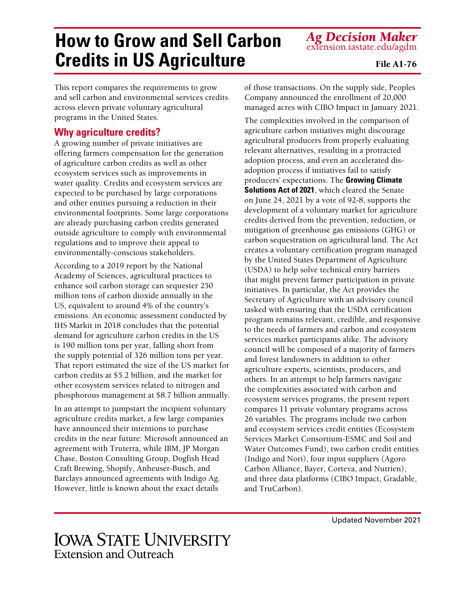#### environmental footprints. Some large corporations are already purchasing carbon credits generated outside agriculture to comply with environmental regulations and to improve their appeal to environmentally-conscious stakeholders.

According to a 2019 report by the National Academy of Sciences, agricultural practices to enhance soil carbon storage can sequester 250 million tons of carbon dioxide annually in the US, equivalent to around 4% of the country's emissions. An economic assessment conducted by IHS Markit in 2018 concludes that the potential demand for agriculture carbon credits in the US is 190 million tons per year, falling short from the supply potential of 326 million tons per year. That report estimated the size of the US market for carbon credits at \$5.2 billion, and the market for other ecosystem services related to nitrogen and phosphorous management at \$8.7 billion annually.

In an attempt to jumpstart the incipient voluntary agriculture credits market, a few large companies have announced their intentions to purchase credits in the near future: Microsoft announced an agreement with Truterra, while IBM, JP Morgan Chase, Boston Consulting Group, Dogfish Head Craft Brewing, Shopify, Anheuser-Busch, and Barclays announced agreements with Indigo Ag. However, little is known about the exact details

of those transactions. On the supply side, Peoples Company announced the enrollment of 20,000 managed acres with CIBO Impact in January 2021.

The complexities involved in the comparison of agriculture carbon initiatives might discourage agricultural producers from properly evaluating relevant alternatives, resulting in a protracted adoption process, and even an accelerated disadoption process if initiatives fail to satisfy producers' expectations. The **Growing Climate Solutions Act of 2021**, which cleared the Senate on June 24, 2021 by a vote of 92-8, supports the development of a voluntary market for agriculture credits derived from the prevention, reduction, or mitigation of greenhouse gas emissions (GHG) or carbon sequestration on agricultural land. The Act creates a voluntary certification program managed by the United States Department of Agriculture (USDA) to help solve technical entry barriers that might prevent farmer participation in private initiatives. In particular, the Act provides the Secretary of Agriculture with an advisory council tasked with ensuring that the USDA certification program remains relevant, credible, and responsive to the needs of farmers and carbon and ecosystem services market participants alike. The advisory council will be composed of a majority of farmers and forest landowners in addition to other agriculture experts, scientists, producers, and others. In an attempt to help farmers navigate the complexities associated with carbon and ecosystem services programs, the present report compares 11 private voluntary programs across 26 variables. The programs include two carbon and ecosystem services credit entities (Ecosystem Services Market Consortium-ESMC and Soil and Water Outcomes Fund), two carbon credit entities (Indigo and Nori), four input suppliers (Agoro Carbon Alliance, Bayer, Corteva, and Nutrien), and three data platforms (CIBO Impact, Gradable, and TruCarbon).

# **How to Grow and Sell Carbon Credits in US Agriculture**

This report compares the requirements to grow and sell carbon and environmental services credits

across eleven private voluntary agricultural

A growing number of private initiatives are offering farmers compensation for the generation of agriculture carbon credits as well as other ecosystem services such as improvements in water quality. Credits and ecosystem services are expected to be purchased by large corporations and other entities pursuing a reduction in their

programs in the United States.

**Why agriculture credits?**

**Extension and Outreach** 

**IOWA STATE UNIVERSITY** 

Updated November 2021

*Ag Decision Maker* extension.iastate.edu/agdm

File A1-76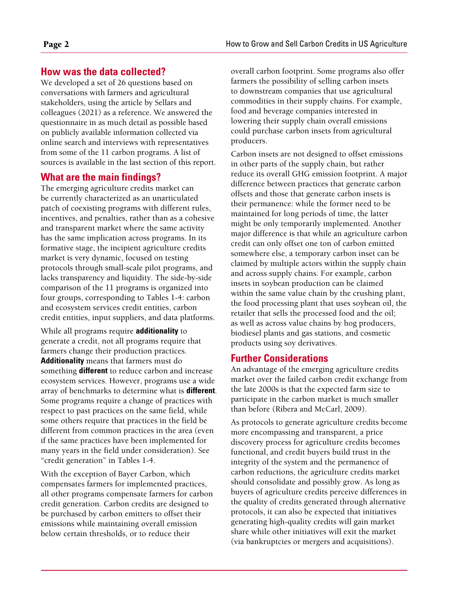# **How was the data collected?**

We developed a set of 26 questions based on conversations with farmers and agricultural stakeholders, using the article by Sellars and colleagues (2021) as a reference. We answered the questionnaire in as much detail as possible based on publicly available information collected via online search and interviews with representatives from some of the 11 carbon programs. A list of sources is available in the last section of this report.

## **What are the main findings?**

The emerging agriculture credits market can be currently characterized as an unarticulated patch of coexisting programs with different rules, incentives, and penalties, rather than as a cohesive and transparent market where the same activity has the same implication across programs. In its formative stage, the incipient agriculture credits market is very dynamic, focused on testing protocols through small-scale pilot programs, and lacks transparency and liquidity. The side-by-side comparison of the 11 programs is organized into four groups, corresponding to Tables 1-4: carbon and ecosystem services credit entities, carbon credit entities, input suppliers, and data platforms.

While all programs require **additionality** to generate a credit, not all programs require that farmers change their production practices. **Additionality** means that farmers must do something **different** to reduce carbon and increase ecosystem services. However, programs use a wide array of benchmarks to determine what is **different**. Some programs require a change of practices with respect to past practices on the same field, while some others require that practices in the field be different from common practices in the area (even if the same practices have been implemented for many years in the field under consideration). See "credit generation" in Tables 1-4.

With the exception of Bayer Carbon, which compensates farmers for implemented practices, all other programs compensate farmers for carbon credit generation. Carbon credits are designed to be purchased by carbon emitters to offset their emissions while maintaining overall emission below certain thresholds, or to reduce their

overall carbon footprint. Some programs also offer farmers the possibility of selling carbon insets to downstream companies that use agricultural commodities in their supply chains. For example, food and beverage companies interested in lowering their supply chain overall emissions could purchase carbon insets from agricultural producers.

Carbon insets are not designed to offset emissions in other parts of the supply chain, but rather reduce its overall GHG emission footprint. A major difference between practices that generate carbon offsets and those that generate carbon insets is their permanence: while the former need to be maintained for long periods of time, the latter might be only temporarily implemented. Another major difference is that while an agriculture carbon credit can only offset one ton of carbon emitted somewhere else, a temporary carbon inset can be claimed by multiple actors within the supply chain and across supply chains. For example, carbon insets in soybean production can be claimed within the same value chain by the crushing plant, the food processing plant that uses soybean oil, the retailer that sells the processed food and the oil; as well as across value chains by hog producers, biodiesel plants and gas stations, and cosmetic products using soy derivatives.

## **Further Considerations**

An advantage of the emerging agriculture credits market over the failed carbon credit exchange from the late 2000s is that the expected farm size to participate in the carbon market is much smaller than before (Ribera and McCarl, 2009).

As protocols to generate agriculture credits become more encompassing and transparent, a price discovery process for agriculture credits becomes functional, and credit buyers build trust in the integrity of the system and the permanence of carbon reductions, the agriculture credits market should consolidate and possibly grow. As long as buyers of agriculture credits perceive differences in the quality of credits generated through alternative protocols, it can also be expected that initiatives generating high-quality credits will gain market share while other initiatives will exit the market (via bankruptcies or mergers and acquisitions).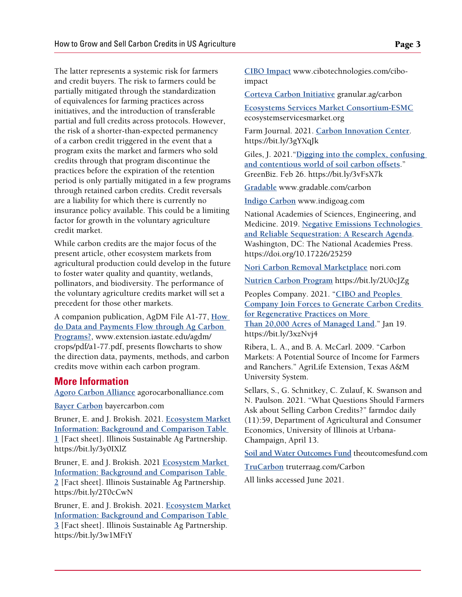The latter represents a systemic risk for farmers and credit buyers. The risk to farmers could be partially mitigated through the standardization of equivalences for farming practices across initiatives, and the introduction of transferable partial and full credits across protocols. However, the risk of a shorter-than-expected permanency of a carbon credit triggered in the event that a program exits the market and farmers who sold credits through that program discontinue the practices before the expiration of the retention period is only partially mitigated in a few programs through retained carbon credits. Credit reversals are a liability for which there is currently no insurance policy available. This could be a limiting factor for growth in the voluntary agriculture credit market.

While carbon credits are the major focus of the present article, other ecosystem markets from agricultural production could develop in the future to foster water quality and quantity, wetlands, pollinators, and biodiversity. The performance of the voluntary agriculture credits market will set a precedent for those other markets.

A companion publication, AgDM File A1-77, **[How](http://www.extension.iastate.edu/agdm/crops/pdf/a1-77.pdf)  [do Data and Payments Flow through Ag Carbon](http://www.extension.iastate.edu/agdm/crops/pdf/a1-77.pdf)  [Programs?](http://www.extension.iastate.edu/agdm/crops/pdf/a1-77.pdf)**, www.extension.iastate.edu/agdm/ crops/pdf/a1-77.pdf, presents flowcharts to show the direction data, payments, methods, and carbon credits move within each carbon program.

### **More Information**

**[Agoro Carbon Alliance](https://agorocarbonalliance.com)** agorocarbonalliance.com

**[Bayer Carbon](https://www.bayercarbon.com)** bayercarbon.com

Bruner, E. and J. Brokish. 2021. **[Ecosystem Market](https://bit.ly/3y0IXlZ)  [Information: Background and Comparison Table](https://bit.ly/3y0IXlZ)  [1](https://bit.ly/3y0IXlZ)** [Fact sheet]. Illinois Sustainable Ag Partnership. https://bit.ly/3y0IXlZ

Bruner, E. and J. Brokish. 2021 **[Ecosystem Market](https://bit.ly/2T0cCwN)  [Information: Background and Comparison Table](https://bit.ly/2T0cCwN)  [2](https://bit.ly/2T0cCwN)** [Fact sheet]. Illinois Sustainable Ag Partnership. https://bit.ly/2T0cCwN

Bruner, E. and J. Brokish. 2021. **[Ecosystem Market](https://bit.ly/3w1MFtY)  [Information: Background and Comparison Table](https://bit.ly/3w1MFtY)  [3](https://bit.ly/3w1MFtY)** [Fact sheet]. Illinois Sustainable Ag Partnership. https://bit.ly/3w1MFtY

**[CIBO Impact](https://www.cibotechnologies.com/)** www.cibotechnologies.com/ciboimpact

**[Corteva Carbon Initiative](https://granular.ag/carbon)** granular.ag/carbon

**[Ecosystems Services Market Consortium-ESM](https://ecosystemservicesmarket.org)C** ecosystemservicesmarket.org

Farm Journal. 2021. **[Carbon Innovation Center](https://bit.ly/3gYXqJk)**. https://bit.ly/3gYXqJk

Giles, J. 2021."**[Digging into the complex, confusing](https://bit.ly/3vFsX7k)  [and contentious world of soil carbon offsets](https://bit.ly/3vFsX7k)**." GreenBiz. Feb 26. https://bit.ly/3vFsX7k

**[Gradable](https://www.gradable.com/carbon)** www.gradable.com/carbon

**[Indigo Carbon](https://www.indigoag.com)** www.indigoag.com

National Academies of Sciences, Engineering, and Medicine. 2019. **[Negative Emissions Technologies](https://doi.org/10.17226/25259)  [and Reliable Sequestration: A Research Agenda](https://doi.org/10.17226/25259)**. Washington, DC: The National Academies Press. https://doi.org/10.17226/25259

**[Nori Carbon Removal Marketplace](https://nori.com)** nori.com

**[Nutrien Carbon Program](https://bit.ly/2U0cJZg)** https://bit.ly/2U0cJZg

Peoples Company. 2021. "**[CIBO and Peoples](https://bit.ly/3xzNvj4)  [Company Join Forces to Generate Carbon Credits](https://bit.ly/3xzNvj4)  [for Regenerative Practices on More](https://bit.ly/3xzNvj4)  [Than 20,000 Acres of Managed Land](https://bit.ly/3xzNvj4)**." Jan 19. https://bit.ly/3xzNvj4

Ribera, L. A., and B. A. McCarl. 2009. "Carbon Markets: A Potential Source of Income for Farmers and Ranchers." AgriLife Extension, Texas A&M University System.

Sellars, S., G. Schnitkey, C. Zulauf, K. Swanson and N. Paulson. 2021. "What Questions Should Farmers Ask about Selling Carbon Credits?" farmdoc daily (11):59, Department of Agricultural and Consumer Economics, University of Illinois at Urbana-Champaign, April 13.

**[Soil and Water Outcomes Fund](https://www.theoutcomesfund.com)** theoutcomesfund.com

**[TruCarbon](https://www.truterraag.com/Carbon)** truterraag.com/Carbon

All links accessed June 2021.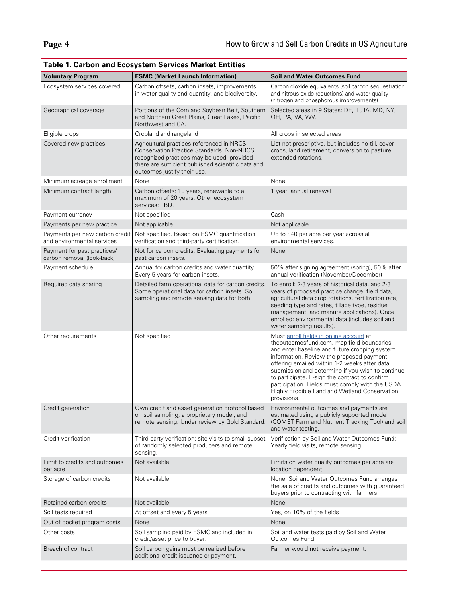| <b>Voluntary Program</b>                                     | <b>ESMC (Market Launch Information)</b>                                                                                                                                                                                          | <b>Soil and Water Outcomes Fund</b>                                                                                                                                                                                                                                                                                                                                                                                                                         |
|--------------------------------------------------------------|----------------------------------------------------------------------------------------------------------------------------------------------------------------------------------------------------------------------------------|-------------------------------------------------------------------------------------------------------------------------------------------------------------------------------------------------------------------------------------------------------------------------------------------------------------------------------------------------------------------------------------------------------------------------------------------------------------|
| Ecosystem services covered                                   | Carbon offsets, carbon insets, improvements<br>in water quality and quantity, and biodiversity.                                                                                                                                  | Carbon dioxide equivalents (soil carbon sequestration<br>and nitrous oxide reductions) and water quality<br>(nitrogen and phosphorous improvements)                                                                                                                                                                                                                                                                                                         |
| Geographical coverage                                        | Portions of the Corn and Soybean Belt, Southern<br>and Northern Great Plains, Great Lakes, Pacific<br>Northwest and CA.                                                                                                          | Selected areas in 9 States: DE, IL, IA, MD, NY,<br>OH, PA, VA, WV.                                                                                                                                                                                                                                                                                                                                                                                          |
| Eligible crops                                               | Cropland and rangeland                                                                                                                                                                                                           | All crops in selected areas                                                                                                                                                                                                                                                                                                                                                                                                                                 |
| Covered new practices                                        | Agricultural practices referenced in NRCS<br><b>Conservation Practice Standards. Non-NRCS</b><br>recognized practices may be used, provided<br>there are sufficient published scientific data and<br>outcomes justify their use. | List not prescriptive, but includes no-till, cover<br>crops, land retirement, conversion to pasture,<br>extended rotations.                                                                                                                                                                                                                                                                                                                                 |
| Minimum acreage enrollment                                   | None                                                                                                                                                                                                                             | None                                                                                                                                                                                                                                                                                                                                                                                                                                                        |
| Minimum contract length                                      | Carbon offsets: 10 years, renewable to a<br>maximum of 20 years. Other ecosystem<br>services: TBD.                                                                                                                               | 1 year, annual renewal                                                                                                                                                                                                                                                                                                                                                                                                                                      |
| Payment currency                                             | Not specified                                                                                                                                                                                                                    | Cash                                                                                                                                                                                                                                                                                                                                                                                                                                                        |
| Payments per new practice                                    | Not applicable                                                                                                                                                                                                                   | Not applicable                                                                                                                                                                                                                                                                                                                                                                                                                                              |
| Payments per new carbon credit<br>and environmental services | Not specified. Based on ESMC quantification,<br>verification and third-party certification.                                                                                                                                      | Up to \$40 per acre per year across all<br>environmental services.                                                                                                                                                                                                                                                                                                                                                                                          |
| Payment for past practices/<br>carbon removal (look-back)    | Not for carbon credits. Evaluating payments for<br>past carbon insets.                                                                                                                                                           | None                                                                                                                                                                                                                                                                                                                                                                                                                                                        |
| Payment schedule                                             | Annual for carbon credits and water quantity.<br>Every 5 years for carbon insets.                                                                                                                                                | 50% after signing agreement (spring), 50% after<br>annual verification (November/December)                                                                                                                                                                                                                                                                                                                                                                  |
| Required data sharing                                        | Detailed farm operational data for carbon credits.<br>Some operational data for carbon insets. Soil<br>sampling and remote sensing data for both.                                                                                | To enroll: 2-3 years of historical data, and 2-3<br>years of proposed practice change: field data,<br>agricultural data crop rotations, fertilization rate,<br>seeding type and rates, tillage type, residue<br>management, and manure applications). Once<br>enrolled: environmental data (includes soil and<br>water sampling results).                                                                                                                   |
| Other requirements                                           | Not specified                                                                                                                                                                                                                    | Must enroll fields in online account at<br>theoutcomesfund.com, map field boundaries,<br>and enter baseline and future cropping system<br>information. Review the proposed payment<br>offering emailed within 1-2 weeks after data<br>submission and determine if you wish to continue<br>to participate. E-sign the contract to confirm<br>participation. Fields must comply with the USDA<br>Highly Erodible Land and Wetland Conservation<br>provisions. |
| Credit generation                                            | Own credit and asset generation protocol based<br>on soil sampling, a proprietary model, and<br>remote sensing. Under review by Gold Standard.                                                                                   | Environmental outcomes and payments are<br>estimated using a publicly supported model<br>(COMET Farm and Nutrient Tracking Tool) and soil<br>and water testing.                                                                                                                                                                                                                                                                                             |
| Credit verification                                          | Third-party verification: site visits to small subset<br>of randomly selected producers and remote<br>sensing.                                                                                                                   | Verification by Soil and Water Outcomes Fund:<br>Yearly field visits, remote sensing.                                                                                                                                                                                                                                                                                                                                                                       |
| Limit to credits and outcomes<br>per acre                    | Not available                                                                                                                                                                                                                    | Limits on water quality outcomes per acre are<br>location dependent.                                                                                                                                                                                                                                                                                                                                                                                        |
| Storage of carbon credits                                    | Not available                                                                                                                                                                                                                    | None. Soil and Water Outcomes Fund arranges<br>the sale of credits and outcomes with guaranteed<br>buyers prior to contracting with farmers.                                                                                                                                                                                                                                                                                                                |
| Retained carbon credits                                      | Not available                                                                                                                                                                                                                    | None                                                                                                                                                                                                                                                                                                                                                                                                                                                        |
| Soil tests required                                          | At offset and every 5 years                                                                                                                                                                                                      | Yes, on 10% of the fields                                                                                                                                                                                                                                                                                                                                                                                                                                   |
| Out of pocket program costs                                  | None                                                                                                                                                                                                                             | None                                                                                                                                                                                                                                                                                                                                                                                                                                                        |
| Other costs                                                  | Soil sampling paid by ESMC and included in<br>credit/asset price to buyer.                                                                                                                                                       | Soil and water tests paid by Soil and Water<br>Outcomes Fund.                                                                                                                                                                                                                                                                                                                                                                                               |
| Breach of contract                                           | Soil carbon gains must be realized before<br>additional credit issuance or payment.                                                                                                                                              | Farmer would not receive payment.                                                                                                                                                                                                                                                                                                                                                                                                                           |

## **Table 1. Carbon and Ecosystem Services Market Entities**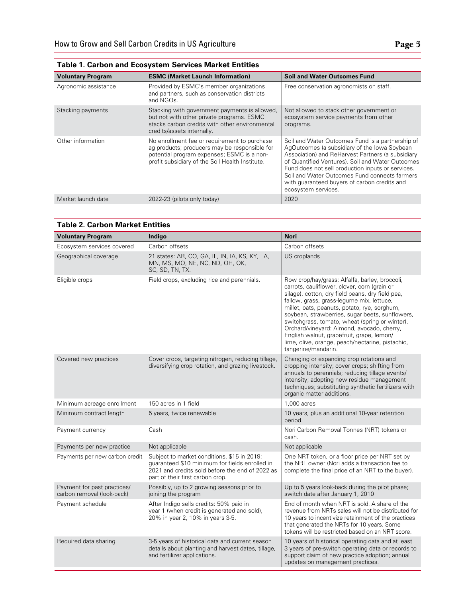| <b>Voluntary Program</b> | <b>ESMC (Market Launch Information)</b>                                                                                                                                                        | <b>Soil and Water Outcomes Fund</b>                                                                                                                                                                                                                                                                                                                                                    |
|--------------------------|------------------------------------------------------------------------------------------------------------------------------------------------------------------------------------------------|----------------------------------------------------------------------------------------------------------------------------------------------------------------------------------------------------------------------------------------------------------------------------------------------------------------------------------------------------------------------------------------|
| Agronomic assistance     | Provided by ESMC's member organizations<br>and partners, such as conservation districts<br>and NGOs.                                                                                           | Free conservation agronomists on staff.                                                                                                                                                                                                                                                                                                                                                |
| Stacking payments        | Stacking with government payments is allowed.<br>but not with other private programs. ESMC<br>stacks carbon credits with other environmental<br>credits/assets internally.                     | Not allowed to stack other government or<br>ecosystem service payments from other<br>programs.                                                                                                                                                                                                                                                                                         |
| Other information        | No enrollment fee or requirement to purchase<br>ag products; producers may be responsible for<br>potential program expenses; ESMC is a non-<br>profit subsidiary of the Soil Health Institute. | Soil and Water Outcomes Fund is a partnership of<br>AgOutcomes (a subsidiary of the lowa Soybean<br>Association) and ReHarvest Partners (a subsidiary<br>of Quantified Ventures). Soil and Water Outcomes<br>Fund does not sell production inputs or services.<br>Soil and Water Outcomes Fund connects farmers<br>with quaranteed buyers of carbon credits and<br>ecosystem services. |
| Market launch date       | 2022-23 (pilots only today)                                                                                                                                                                    | 2020                                                                                                                                                                                                                                                                                                                                                                                   |

| <b>Table 1. Carbon and Ecosystem Services Market Entities</b> |  |
|---------------------------------------------------------------|--|
|---------------------------------------------------------------|--|

| <b>Voluntary Program</b>                                  | Indigo                                                                                                                                                                               | <b>Nori</b>                                                                                                                                                                                                                                                                                                                                                                                                                                                                                                                |
|-----------------------------------------------------------|--------------------------------------------------------------------------------------------------------------------------------------------------------------------------------------|----------------------------------------------------------------------------------------------------------------------------------------------------------------------------------------------------------------------------------------------------------------------------------------------------------------------------------------------------------------------------------------------------------------------------------------------------------------------------------------------------------------------------|
| Ecosystem services covered                                | Carbon offsets                                                                                                                                                                       | Carbon offsets                                                                                                                                                                                                                                                                                                                                                                                                                                                                                                             |
| Geographical coverage                                     | 21 states: AR, CO, GA, IL, IN, IA, KS, KY, LA,<br>MN, MS, MO, NE, NC, ND, OH, OK,<br>SC, SD, TN, TX.                                                                                 | US croplands                                                                                                                                                                                                                                                                                                                                                                                                                                                                                                               |
| Eligible crops                                            | Field crops, excluding rice and perennials.                                                                                                                                          | Row crop/hay/grass: Alfalfa, barley, broccoli,<br>carrots, cauliflower, clover, corn (grain or<br>silage), cotton, dry field beans, dry field pea,<br>fallow, grass, grass-legume mix, lettuce,<br>millet, oats, peanuts, potato, rye, sorghum,<br>soybean, strawberries, sugar beets, sunflowers,<br>switchgrass, tomato, wheat (spring or winter).<br>Orchard/vineyard: Almond, avocado, cherry,<br>English walnut, grapefruit, grape, lemon/<br>lime, olive, orange, peach/nectarine, pistachio,<br>tangerine/mandarin. |
| Covered new practices                                     | Cover crops, targeting nitrogen, reducing tillage,<br>diversifying crop rotation, and grazing livestock.                                                                             | Changing or expanding crop rotations and<br>cropping intensity; cover crops; shifting from<br>annuals to perennials; reducing tillage events/<br>intensity; adopting new residue management<br>techniques; substituting synthetic fertilizers with<br>organic matter additions.                                                                                                                                                                                                                                            |
| Minimum acreage enrollment                                | 150 acres in 1 field                                                                                                                                                                 | 1.000 acres                                                                                                                                                                                                                                                                                                                                                                                                                                                                                                                |
| Minimum contract length                                   | 5 years, twice renewable                                                                                                                                                             | 10 years, plus an additional 10-year retention<br>period.                                                                                                                                                                                                                                                                                                                                                                                                                                                                  |
| Payment currency                                          | Cash                                                                                                                                                                                 | Nori Carbon Removal Tonnes (NRT) tokens or<br>cash.                                                                                                                                                                                                                                                                                                                                                                                                                                                                        |
| Payments per new practice                                 | Not applicable                                                                                                                                                                       | Not applicable                                                                                                                                                                                                                                                                                                                                                                                                                                                                                                             |
| Payments per new carbon credit                            | Subject to market conditions. \$15 in 2019;<br>guaranteed \$10 minimum for fields enrolled in<br>2021 and credits sold before the end of 2022 as<br>part of their first carbon crop. | One NRT token, or a floor price per NRT set by<br>the NRT owner (Nori adds a transaction fee to<br>complete the final price of an NRT to the buyer).                                                                                                                                                                                                                                                                                                                                                                       |
| Payment for past practices/<br>carbon removal (look-back) | Possibly, up to 2 growing seasons prior to<br>joining the program                                                                                                                    | Up to 5 years look-back during the pilot phase;<br>switch date after January 1, 2010                                                                                                                                                                                                                                                                                                                                                                                                                                       |
| Payment schedule                                          | After Indigo sells credits: 50% paid in<br>year 1 (when credit is generated and sold),<br>20% in year 2, 10% in years 3-5.                                                           | End of month when NRT is sold. A share of the<br>revenue from NRTs sales will not be distributed for<br>10 years to incentivize retainment of the practices<br>that generated the NRTs for 10 years. Some<br>tokens will be restricted based on an NRT score.                                                                                                                                                                                                                                                              |
| Required data sharing                                     | 3-5 years of historical data and current season<br>details about planting and harvest dates, tillage,<br>and fertilizer applications.                                                | 10 years of historical operating data and at least<br>3 years of pre-switch operating data or records to<br>support claim of new practice adoption; annual<br>updates on management practices.                                                                                                                                                                                                                                                                                                                             |

#### **Table 2. Carbon Market Entities**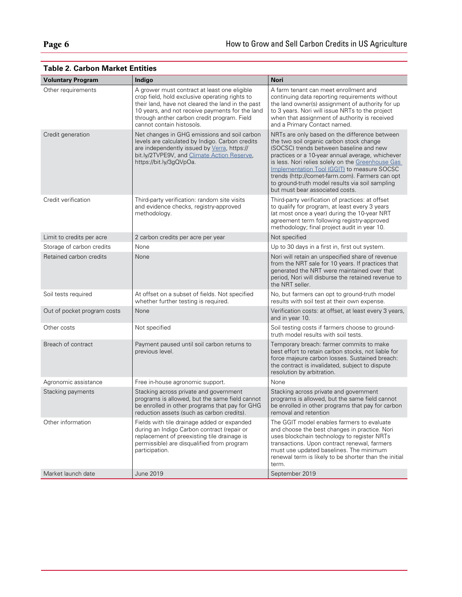| <b>Voluntary Program</b>    | Indigo                                                                                                                                                                                                                                                                             | <b>Nori</b>                                                                                                                                                                                                                                                                                                                                                                                                                           |
|-----------------------------|------------------------------------------------------------------------------------------------------------------------------------------------------------------------------------------------------------------------------------------------------------------------------------|---------------------------------------------------------------------------------------------------------------------------------------------------------------------------------------------------------------------------------------------------------------------------------------------------------------------------------------------------------------------------------------------------------------------------------------|
| Other requirements          | A grower must contract at least one eligible<br>crop field, hold exclusive operating rights to<br>their land, have not cleared the land in the past<br>10 years, and not receive payments for the land<br>through anther carbon credit program. Field<br>cannot contain histosols. | A farm tenant can meet enrollment and<br>continuing data reporting requirements without<br>the land owner(s) assignment of authority for up<br>to 3 years. Nori will issue NRTs to the project<br>when that assignment of authority is received<br>and a Primary Contact named.                                                                                                                                                       |
| Credit generation           | Net changes in GHG emissions and soil carbon<br>levels are calculated by Indigo. Carbon credits<br>are independently issued by Verra, https://<br>bit.ly/2TVPE9V, and Climate Action Reserve,<br>https://bit.ly/3gQVpOa.                                                           | NRTs are only based on the difference between<br>the two soil organic carbon stock change<br>(SOCSC) trends between baseline and new<br>practices or a 10-year annual average, whichever<br>is less. Nori relies solely on the Greenhouse Gas<br>Implementation Tool (GGIT) to measure SOCSC<br>trends (http://comet-farm.com). Farmers can opt<br>to ground-truth model results via soil sampling<br>but must bear associated costs. |
| Credit verification         | Third-party verification: random site visits<br>and evidence checks, registry-approved<br>methodology.                                                                                                                                                                             | Third-party verification of practices: at offset<br>to qualify for program, at least every 3 years<br>(at most once a year) during the 10-year NRT<br>agreement term following registry-approved<br>methodology; final project audit in year 10.                                                                                                                                                                                      |
| Limit to credits per acre   | 2 carbon credits per acre per year                                                                                                                                                                                                                                                 | Not specified                                                                                                                                                                                                                                                                                                                                                                                                                         |
| Storage of carbon credits   | None                                                                                                                                                                                                                                                                               | Up to 30 days in a first in, first out system.                                                                                                                                                                                                                                                                                                                                                                                        |
| Retained carbon credits     | None                                                                                                                                                                                                                                                                               | Nori will retain an unspecified share of revenue<br>from the NRT sale for 10 years. If practices that<br>generated the NRT were maintained over that<br>period, Nori will disburse the retained revenue to<br>the NRT seller.                                                                                                                                                                                                         |
| Soil tests required         | At offset on a subset of fields. Not specified<br>whether further testing is required.                                                                                                                                                                                             | No, but farmers can opt to ground-truth model<br>results with soil test at their own expense.                                                                                                                                                                                                                                                                                                                                         |
| Out of pocket program costs | None                                                                                                                                                                                                                                                                               | Verification costs: at offset, at least every 3 years,<br>and in year 10.                                                                                                                                                                                                                                                                                                                                                             |
| Other costs                 | Not specified                                                                                                                                                                                                                                                                      | Soil testing costs if farmers choose to ground-<br>truth model results with soil tests.                                                                                                                                                                                                                                                                                                                                               |
| Breach of contract          | Payment paused until soil carbon returns to<br>previous level.                                                                                                                                                                                                                     | Temporary breach: farmer commits to make<br>best effort to retain carbon stocks, not liable for<br>force majeure carbon losses. Sustained breach:<br>the contract is invalidated, subject to dispute<br>resolution by arbitration.                                                                                                                                                                                                    |
| Agronomic assistance        | Free in-house agronomic support.                                                                                                                                                                                                                                                   | None                                                                                                                                                                                                                                                                                                                                                                                                                                  |
| Stacking payments           | Stacking across private and government<br>programs is allowed, but the same field cannot<br>be enrolled in other programs that pay for GHG<br>reduction assets (such as carbon credits).                                                                                           | Stacking across private and government<br>programs is allowed, but the same field cannot<br>be enrolled in other programs that pay for carbon<br>removal and retention                                                                                                                                                                                                                                                                |
| Other information           | Fields with tile drainage added or expanded<br>during an Indigo Carbon contract (repair or<br>replacement of preexisting tile drainage is<br>permissible) are disqualified from program<br>participation.                                                                          | The GGIT model enables farmers to evaluate<br>and choose the best changes in practice. Nori<br>uses blockchain technology to register NRTs<br>transactions. Upon contract renewal, farmers<br>must use updated baselines. The minimum<br>renewal term is likely to be shorter than the initial<br>term.                                                                                                                               |
| Market launch date          | June 2019                                                                                                                                                                                                                                                                          | September 2019                                                                                                                                                                                                                                                                                                                                                                                                                        |

# **Table 2. Carbon Market Entities**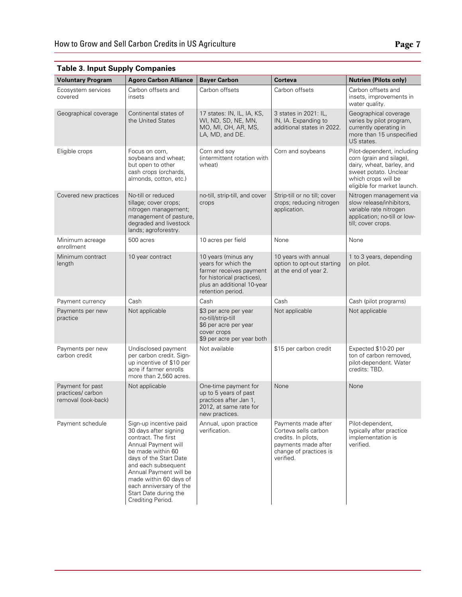| <b>Voluntary Program</b>                                     | <b>Agoro Carbon Alliance</b>                                                                                                                                                                                                                                                                     | <b>Bayer Carbon</b>                                                                                                                                    | Corteva                                                                                                                          | <b>Nutrien (Pilots only)</b>                                                                                                                                       |
|--------------------------------------------------------------|--------------------------------------------------------------------------------------------------------------------------------------------------------------------------------------------------------------------------------------------------------------------------------------------------|--------------------------------------------------------------------------------------------------------------------------------------------------------|----------------------------------------------------------------------------------------------------------------------------------|--------------------------------------------------------------------------------------------------------------------------------------------------------------------|
| Ecosystem services                                           | Carbon offsets and                                                                                                                                                                                                                                                                               | Carbon offsets                                                                                                                                         | Carbon offsets                                                                                                                   | Carbon offsets and                                                                                                                                                 |
| covered                                                      | insets                                                                                                                                                                                                                                                                                           |                                                                                                                                                        |                                                                                                                                  | insets, improvements in<br>water quality.                                                                                                                          |
| Geographical coverage                                        | Continental states of<br>the United States                                                                                                                                                                                                                                                       | 17 states: IN, IL, IA, KS,<br>WI, ND, SD, NE, MN,<br>MO, MI, OH, AR, MS,<br>LA, MD, and DE.                                                            | 3 states in 2021: IL,<br>IN, IA. Expanding to<br>additional states in 2022.                                                      | Geographical coverage<br>varies by pilot program,<br>currently operating in<br>more than 15 unspecified<br>US states.                                              |
| Eligible crops                                               | Focus on corn,<br>soybeans and wheat;<br>but open to other<br>cash crops (orchards,<br>almonds, cotton, etc.)                                                                                                                                                                                    | Corn and soy<br>(intermittent rotation with<br>wheat)                                                                                                  | Corn and soybeans                                                                                                                | Pilot-dependent, including<br>corn (grain and silage),<br>dairy, wheat, barley, and<br>sweet potato. Unclear<br>which crops will be<br>eligible for market launch. |
| Covered new practices                                        | No-till or reduced<br>tillage; cover crops;<br>nitrogen management;<br>management of pasture,<br>degraded and livestock<br>lands; agroforestry.                                                                                                                                                  | no-till, strip-till, and cover<br>crops                                                                                                                | Strip-till or no till; cover<br>crops; reducing nitrogen<br>application.                                                         | Nitrogen management via<br>slow release/inhibitors,<br>variable rate nitrogen<br>application; no-till or low-<br>till; cover crops.                                |
| Minimum acreage<br>enrollment                                | 500 acres                                                                                                                                                                                                                                                                                        | 10 acres per field                                                                                                                                     | None                                                                                                                             | None                                                                                                                                                               |
| Minimum contract<br>length                                   | 10 year contract                                                                                                                                                                                                                                                                                 | 10 years (minus any<br>years for which the<br>farmer receives payment<br>for historical practices),<br>plus an additional 10-year<br>retention period. | 10 years with annual<br>option to opt-out starting<br>at the end of year 2.                                                      | 1 to 3 years, depending<br>on pilot.                                                                                                                               |
| Payment currency                                             | Cash                                                                                                                                                                                                                                                                                             | Cash                                                                                                                                                   | Cash                                                                                                                             | Cash (pilot programs)                                                                                                                                              |
| Payments per new<br>practice                                 | Not applicable                                                                                                                                                                                                                                                                                   | \$3 per acre per year<br>no-till/strip-till<br>\$6 per acre per year<br>cover crops<br>\$9 per acre per year both                                      | Not applicable                                                                                                                   | Not applicable                                                                                                                                                     |
| Payments per new<br>carbon credit                            | Undisclosed payment<br>per carbon credit. Sign-<br>up incentive of \$10 per<br>acre if farmer enrolls<br>more than 2,560 acres.                                                                                                                                                                  | Not available                                                                                                                                          | \$15 per carbon credit                                                                                                           | Expected \$10-20 per<br>ton of carbon removed,<br>pilot-dependent. Water<br>credits: TBD.                                                                          |
| Payment for past<br>practices/ carbon<br>removal (look-back) | Not applicable                                                                                                                                                                                                                                                                                   | One-time payment for<br>up to 5 years of past<br>practices after Jan 1,<br>2012, at same rate for<br>new practices.                                    | None                                                                                                                             | None                                                                                                                                                               |
| Payment schedule                                             | Sign-up incentive paid<br>30 days after signing<br>contract. The first<br>Annual Payment will<br>be made within 60<br>days of the Start Date<br>and each subsequent<br>Annual Payment will be<br>made within 60 days of<br>each anniversary of the<br>Start Date during the<br>Crediting Period. | Annual, upon practice<br>verification.                                                                                                                 | Payments made after<br>Corteva sells carbon<br>credits. In pilots,<br>payments made after<br>change of practices is<br>verified. | Pilot-dependent,<br>typically after practice<br>implementation is<br>verified.                                                                                     |

## **Table 3. Input Supply Companies**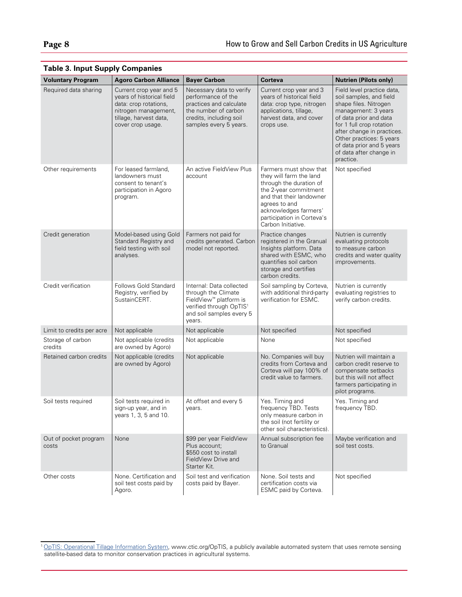| <b>Voluntary Program</b>       | <b>Agoro Carbon Alliance</b>                                                                                                                         | <b>Bayer Carbon</b>                                                                                                                                                | Corteva                                                                                                                                                                                                                         | <b>Nutrien (Pilots only)</b>                                                                                                                                                                                                                                                               |
|--------------------------------|------------------------------------------------------------------------------------------------------------------------------------------------------|--------------------------------------------------------------------------------------------------------------------------------------------------------------------|---------------------------------------------------------------------------------------------------------------------------------------------------------------------------------------------------------------------------------|--------------------------------------------------------------------------------------------------------------------------------------------------------------------------------------------------------------------------------------------------------------------------------------------|
| Required data sharing          | Current crop year and 5<br>years of historical field<br>data: crop rotations,<br>nitrogen management,<br>tillage, harvest data,<br>cover crop usage. | Necessary data to verify<br>performance of the<br>practices and calculate<br>the number of carbon<br>credits, including soil<br>samples every 5 years.             | Current crop year and 3<br>years of historical field<br>data: crop type, nitrogen<br>applications, tillage,<br>harvest data, and cover<br>crops use.                                                                            | Field level practice data,<br>soil samples, and field<br>shape files. Nitrogen<br>management: 3 years<br>of data prior and data<br>for 1 full crop rotation<br>after change in practices.<br>Other practices: 5 years<br>of data prior and 5 years<br>of data after change in<br>practice. |
| Other requirements             | For leased farmland,<br>landowners must<br>consent to tenant's<br>participation in Agoro<br>program.                                                 | An active FieldView Plus<br>account                                                                                                                                | Farmers must show that<br>they will farm the land<br>through the duration of<br>the 2-year commitment<br>and that their landowner<br>agrees to and<br>acknowledges farmers'<br>participation in Corteva's<br>Carbon Initiative. | Not specified                                                                                                                                                                                                                                                                              |
| Credit generation              | Model-based using Gold<br>Standard Registry and<br>field testing with soil<br>analyses.                                                              | Farmers not paid for<br>credits generated. Carbon<br>model not reported.                                                                                           | Practice changes<br>registered in the Granual<br>Insights platform. Data<br>shared with ESMC, who<br>quantifies soil carbon<br>storage and certifies<br>carbon credits.                                                         | Nutrien is currently<br>evaluating protocols<br>to measure carbon<br>credits and water quality<br>improvements.                                                                                                                                                                            |
| Credit verification            | Follows Gold Standard<br>Registry, verified by<br>SustainCERT.                                                                                       | Internal: Data collected<br>through the Climate<br>FieldView <sup>™</sup> platform is<br>verified through OpTIS <sup>1</sup><br>and soil samples every 5<br>years. | Soil sampling by Corteva,<br>with additional third-party<br>verification for ESMC.                                                                                                                                              | Nutrien is currently<br>evaluating registries to<br>verify carbon credits.                                                                                                                                                                                                                 |
| Limit to credits per acre      | Not applicable                                                                                                                                       | Not applicable                                                                                                                                                     | Not specified                                                                                                                                                                                                                   | Not specified                                                                                                                                                                                                                                                                              |
| Storage of carbon<br>credits   | Not applicable (credits<br>are owned by Agoro)                                                                                                       | Not applicable                                                                                                                                                     | None                                                                                                                                                                                                                            | Not specified                                                                                                                                                                                                                                                                              |
| Retained carbon credits        | Not applicable (credits<br>are owned by Agoro)                                                                                                       | Not applicable                                                                                                                                                     | No. Companies will buy<br>credits from Corteva and<br>Corteva will pay 100% of<br>credit value to farmers.                                                                                                                      | Nutrien will maintain a<br>carbon credit reserve to<br>compensate setbacks<br>but this will not affect<br>farmers participating in<br>pilot programs.                                                                                                                                      |
| Soil tests required            | Soil tests required in<br>sign-up year, and in<br>years 1, 3, 5 and 10.                                                                              | At offset and every 5<br>years.                                                                                                                                    | Yes. Timing and<br>frequency TBD. Tests<br>only measure carbon in<br>the soil (not fertility or<br>other soil characteristics).                                                                                                 | Yes. Timing and<br>frequency TBD.                                                                                                                                                                                                                                                          |
| Out of pocket program<br>costs | None                                                                                                                                                 | \$99 per year FieldView<br>Plus account;<br>\$550 cost to install<br>FieldView Drive and<br>Starter Kit.                                                           | Annual subscription fee<br>to Granual                                                                                                                                                                                           | Maybe verification and<br>soil test costs.                                                                                                                                                                                                                                                 |
| Other costs                    | None. Certification and<br>soil test costs paid by<br>Agoro.                                                                                         | Soil test and verification<br>costs paid by Bayer.                                                                                                                 | None. Soil tests and<br>certification costs via<br>ESMC paid by Corteva.                                                                                                                                                        | Not specified                                                                                                                                                                                                                                                                              |

## **Table 3. Input Supply Companies**

<sup>1</sup> [OpTIS: Operational Tillage Information System,](https://www.ctic.org/OpTIS) www.ctic.org/OpTIS, a publicly available automated system that uses remote sensing satellite-based data to monitor conservation practices in agricultural systems.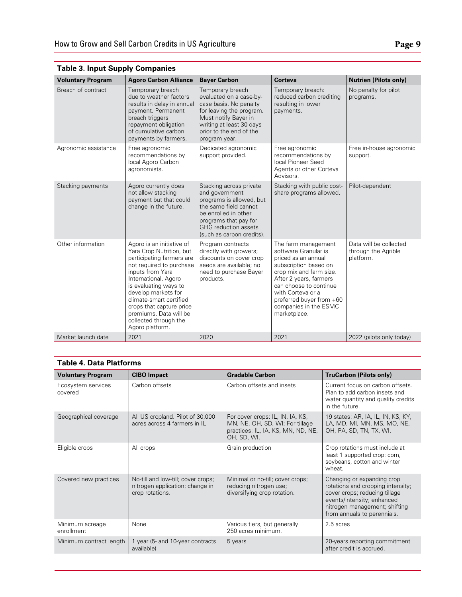| <b>Voluntary Program</b> | <b>Agoro Carbon Alliance</b>                                                                                                                                                                                                                                                                                                            | <b>Bayer Carbon</b>                                                                                                                                                                                         | Corteva                                                                                                                                                                                                                                                              | <b>Nutrien (Pilots only)</b>                               |
|--------------------------|-----------------------------------------------------------------------------------------------------------------------------------------------------------------------------------------------------------------------------------------------------------------------------------------------------------------------------------------|-------------------------------------------------------------------------------------------------------------------------------------------------------------------------------------------------------------|----------------------------------------------------------------------------------------------------------------------------------------------------------------------------------------------------------------------------------------------------------------------|------------------------------------------------------------|
| Breach of contract       | Temprorary breach<br>due to weather factors<br>results in delay in annual<br>payment. Permanent<br>breach triggers<br>repayment obligation<br>of cumulative carbon<br>payments by farmers.                                                                                                                                              | Temporary breach<br>evaluated on a case-by-<br>case basis. No penalty<br>for leaving the program.<br>Must notify Bayer in<br>writing at least 30 days<br>prior to the end of the<br>program year.           | Temporary breach:<br>reduced carbon crediting<br>resulting in lower<br>payments.                                                                                                                                                                                     | No penalty for pilot<br>programs.                          |
| Agronomic assistance     | Free agronomic<br>recommendations by<br>local Agoro Carbon<br>agronomists.                                                                                                                                                                                                                                                              | Dedicated agronomic<br>support provided.                                                                                                                                                                    | Free agronomic<br>recommendations by<br>local Pioneer Seed<br>Agents or other Corteva<br>Advisors.                                                                                                                                                                   | Free in-house agronomic<br>support.                        |
| Stacking payments        | Agoro currently does<br>not allow stacking<br>payment but that could<br>change in the future.                                                                                                                                                                                                                                           | Stacking across private<br>and government<br>programs is allowed, but<br>the same field cannot<br>be enrolled in other<br>programs that pay for<br><b>GHG</b> reduction assets<br>(such as carbon credits). | Stacking with public cost-<br>share programs allowed.                                                                                                                                                                                                                | Pilot-dependent                                            |
| Other information        | Agoro is an initiative of<br>Yara Crop Nutrition, but<br>participating farmers are<br>not required to purchase<br>inputs from Yara<br>International. Agoro<br>is evaluating ways to<br>develop markets for<br>climate-smart certified<br>crops that capture price<br>premiums. Data will be<br>collected through the<br>Agoro platform. | Program contracts<br>directly with growers;<br>discounts on cover crop<br>seeds are available: no<br>need to purchase Bayer<br>products.                                                                    | The farm management<br>software Granular is<br>priced as an annual<br>subscription based on<br>crop mix and farm size.<br>After 2 years, farmers<br>can choose to continue<br>with Corteva or a<br>preferred buyer from +60<br>companies in the ESMC<br>marketplace. | Data will be collected<br>through the Agrible<br>platform. |
| Market launch date       | 2021                                                                                                                                                                                                                                                                                                                                    | 2020                                                                                                                                                                                                        | 2021                                                                                                                                                                                                                                                                 | 2022 (pilots only today)                                   |

# **Table 3. Input Supply Companies**

#### **Table 4. Data Platforms**

| <b>Voluntary Program</b>      | <b>CIBO Impact</b>                                                                       | <b>Gradable Carbon</b>                                                                                                   | <b>TruCarbon (Pilots only)</b>                                                                                                                                                                 |
|-------------------------------|------------------------------------------------------------------------------------------|--------------------------------------------------------------------------------------------------------------------------|------------------------------------------------------------------------------------------------------------------------------------------------------------------------------------------------|
| Ecosystem services<br>covered | Carbon offsets                                                                           | Carbon offsets and insets                                                                                                | Current focus on carbon offsets.<br>Plan to add carbon insets and<br>water quantity and quality credits<br>in the future.                                                                      |
| Geographical coverage         | All US cropland. Pilot of 30,000<br>acres across 4 farmers in IL                         | For cover crops: IL, IN, IA, KS,<br>MN, NE, OH, SD, WI; For tillage<br>practices: IL, IA, KS, MN, ND, NE,<br>OH, SD, WI. | 19 states: AR, IA, IL, IN, KS, KY,<br>LA, MD, MI, MN, MS, MO, NE,<br>OH, PA, SD, TN, TX, WI.                                                                                                   |
| Eligible crops                | All crops                                                                                | Grain production                                                                                                         | Crop rotations must include at<br>least 1 supported crop: corn,<br>soybeans, cotton and winter<br>wheat.                                                                                       |
| Covered new practices         | No-till and low-till; cover crops;<br>nitrogen application; change in<br>crop rotations. | Minimal or no-till; cover crops;<br>reducing nitrogen use;<br>diversifying crop rotation.                                | Changing or expanding crop<br>rotations and cropping intensity;<br>cover crops; reducing tillage<br>events/intensity; enhanced<br>nitrogen management; shifting<br>from annuals to perennials. |
| Minimum acreage<br>enrollment | None                                                                                     | Various tiers, but generally<br>250 acres minimum.                                                                       | 2.5 acres                                                                                                                                                                                      |
| Minimum contract length       | 1 year (5- and 10-year contracts<br>available)                                           | 5 years                                                                                                                  | 20-years reporting commitment<br>after credit is accrued.                                                                                                                                      |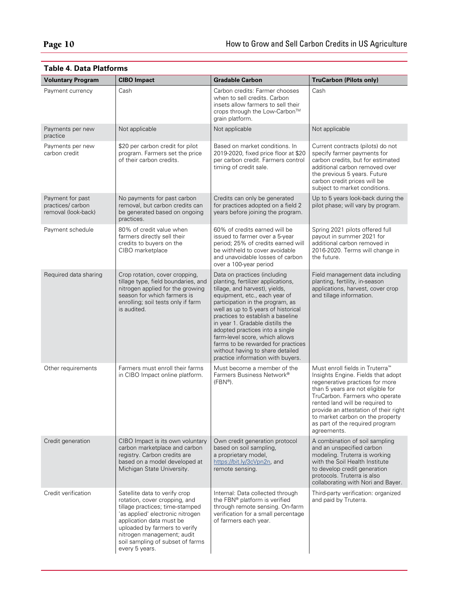| <b>Voluntary Program</b>                                    | <b>CIBO</b> Impact                                                                                                                                                                                                                                                                     | <b>Gradable Carbon</b>                                                                                                                                                                                                                                                                                                                                                                                                                                                        | <b>TruCarbon (Pilots only)</b>                                                                                                                                                                                                                                                                                                                                |
|-------------------------------------------------------------|----------------------------------------------------------------------------------------------------------------------------------------------------------------------------------------------------------------------------------------------------------------------------------------|-------------------------------------------------------------------------------------------------------------------------------------------------------------------------------------------------------------------------------------------------------------------------------------------------------------------------------------------------------------------------------------------------------------------------------------------------------------------------------|---------------------------------------------------------------------------------------------------------------------------------------------------------------------------------------------------------------------------------------------------------------------------------------------------------------------------------------------------------------|
| Payment currency                                            | Cash                                                                                                                                                                                                                                                                                   | Carbon credits: Farmer chooses<br>when to sell credits. Carbon<br>insets allow farmers to sell their<br>crops through the Low-Carbon™<br>grain platform.                                                                                                                                                                                                                                                                                                                      | Cash                                                                                                                                                                                                                                                                                                                                                          |
| Payments per new<br>practice                                | Not applicable                                                                                                                                                                                                                                                                         | Not applicable                                                                                                                                                                                                                                                                                                                                                                                                                                                                | Not applicable                                                                                                                                                                                                                                                                                                                                                |
| Payments per new<br>carbon credit                           | \$20 per carbon credit for pilot<br>program. Farmers set the price<br>of their carbon credits.                                                                                                                                                                                         | Based on market conditions. In<br>2019-2020, fixed price floor at \$20<br>per carbon credit. Farmers control<br>timing of credit sale.                                                                                                                                                                                                                                                                                                                                        | Current contracts (pilots) do not<br>specify farmer payments for<br>carbon credits, but for estimated<br>additional carbon removed over<br>the previous 5 years. Future<br>carbon credit prices will be<br>subject to market conditions.                                                                                                                      |
| Payment for past<br>practices/carbon<br>removal (look-back) | No payments for past carbon<br>removal, but carbon credits can<br>be generated based on ongoing<br>practices.                                                                                                                                                                          | Credits can only be generated<br>for practices adopted on a field 2<br>years before joining the program.                                                                                                                                                                                                                                                                                                                                                                      | Up to 5 years look-back during the<br>pilot phase; will vary by program.                                                                                                                                                                                                                                                                                      |
| Payment schedule                                            | 80% of credit value when<br>farmers directly sell their<br>credits to buyers on the<br>CIBO marketplace                                                                                                                                                                                | 60% of credits earned will be<br>issued to farmer over a 5-year<br>period; 25% of credits earned will<br>be withheld to cover avoidable<br>and unavoidable losses of carbon<br>over a 100-year period                                                                                                                                                                                                                                                                         | Spring 2021 pilots offered full<br>payout in summer 2021 for<br>additional carbon removed in<br>2016-2020. Terms will change in<br>the future.                                                                                                                                                                                                                |
| Required data sharing                                       | Crop rotation, cover cropping,<br>tillage type, field boundaries, and<br>nitrogen applied for the growing<br>season for which farmers is<br>enrolling; soil tests only if farm<br>is audited.                                                                                          | Data on practices (including<br>planting, fertilizer applications,<br>tillage, and harvest), yields,<br>equipment, etc., each year of<br>participation in the program, as<br>well as up to 5 years of historical<br>practices to establish a baseline<br>in year 1. Gradable distills the<br>adopted practices into a single<br>farm-level score, which allows<br>farms to be rewarded for practices<br>without having to share detailed<br>practice information with buyers. | Field management data including<br>planting, fertility, in-season<br>applications, harvest, cover crop<br>and tillage information.                                                                                                                                                                                                                            |
| Other requirements                                          | Farmers must enroll their farms<br>in CIBO Impact online platform.                                                                                                                                                                                                                     | Must become a member of the<br>Farmers Business Network®<br>$(FBN^{\circledR})$ .                                                                                                                                                                                                                                                                                                                                                                                             | Must enroll fields in Truterra <sup>™</sup><br>Insights Engine. Fields that adopt<br>regenerative practices for more<br>than 5 years are not eligible for<br>TruCarbon. Farmers who operate<br>rented land will be required to<br>provide an attestation of their right<br>to market carbon on the property<br>as part of the required program<br>agreements. |
| Credit generation                                           | CIBO Impact is its own voluntary<br>carbon marketplace and carbon<br>registry. Carbon credits are<br>based on a model developed at<br>Michigan State University.                                                                                                                       | Own credit generation protocol<br>based on soil sampling,<br>a proprietary model,<br>https://bit.ly/3cVpn2n, and<br>remote sensing.                                                                                                                                                                                                                                                                                                                                           | A combination of soil sampling<br>and an unspecified carbon<br>modeling. Truterra is working<br>with the Soil Health Institute<br>to develop credit generation<br>protocols. Truterra is also<br>collaborating with Nori and Bayer.                                                                                                                           |
| Credit verification                                         | Satellite data to verify crop<br>rotation, cover cropping, and<br>tillage practices; time-stamped<br>'as applied' electronic nitrogen<br>application data must be<br>uploaded by farmers to verify<br>nitrogen management; audit<br>soil sampling of subset of farms<br>every 5 years. | Internal: Data collected through<br>the FBN® platform is verified<br>through remote sensing. On-farm<br>verification for a small percentage<br>of farmers each year.                                                                                                                                                                                                                                                                                                          | Third-party verification: organized<br>and paid by Truterra.                                                                                                                                                                                                                                                                                                  |

# **Table 4. Data Platforms**